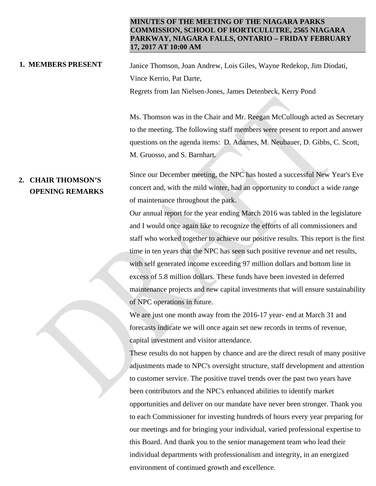### **MINUTES OF THE MEETING OF THE NIAGARA PARKS COMMISSION, SCHOOL OF HORTICULUTRE, 2565 NIAGARA PARKWAY, NIAGARA FALLS, ONTARIO – FRIDAY FEBRUARY 17, 2017 AT 10:00 AM**

**1. MEMBERS PRESENT** Janice Thomson, Joan Andrew, Lois Giles, Wayne Redekop, Jim Diodati, Vince Kerrio, Pat Darte, Regrets from Ian Nielsen-Jones, James Detenbeck, Kerry Pond

> Ms. Thomson was in the Chair and Mr. Reegan McCullough acted as Secretary to the meeting. The following staff members were present to report and answer questions on the agenda items: D. Adames, M. Neubauer, D. Gibbs, C. Scott, M. Gruosso, and S. Barnhart.

# **2. CHAIR THOMSON'S OPENING REMARKS**

Since our December meeting, the NPC has hosted a successful New Year's Eve concert and, with the mild winter, had an opportunity to conduct a wide range of maintenance throughout the park.

Our annual report for the year ending March 2016 was tabled in the legislature and I would once again like to recognize the efforts of all commissioners and staff who worked together to achieve our positive results. This report is the first time in ten years that the NPC has seen such positive revenue and net results, with self generated income exceeding 97 million dollars and bottom line in excess of 5.8 million dollars. These funds have been invested in deferred maintenance projects and new capital investments that will ensure sustainability of NPC operations in future.

We are just one month away from the 2016-17 year- end at March 31 and forecasts indicate we will once again set new records in terms of revenue, capital investment and visitor attendance.

These results do not happen by chance and are the direct result of many positive adjustments made to NPC's oversight structure, staff development and attention to customer service. The positive travel trends over the past two years have been contributors and the NPC's enhanced abilities to identify market opportunities and deliver on our mandate have never been stronger. Thank you to each Commissioner for investing hundreds of hours every year preparing for our meetings and for bringing your individual, varied professional expertise to this Board. And thank you to the senior management team who lead their individual departments with professionalism and integrity, in an energized environment of continued growth and excellence.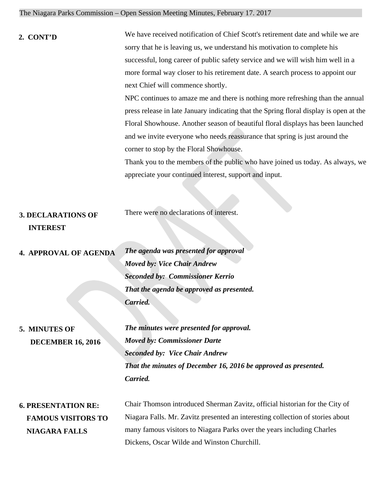|  | The Niagara Parks Commission – Open Session Meeting Minutes, February 17. 2017 |  |  |  |  |
|--|--------------------------------------------------------------------------------|--|--|--|--|
|  |                                                                                |  |  |  |  |

| 2. CONT'D                                    | We have received notification of Chief Scott's retirement date and while we are        |
|----------------------------------------------|----------------------------------------------------------------------------------------|
|                                              | sorry that he is leaving us, we understand his motivation to complete his              |
|                                              | successful, long career of public safety service and we will wish him well in a        |
|                                              | more formal way closer to his retirement date. A search process to appoint our         |
|                                              | next Chief will commence shortly.                                                      |
|                                              | NPC continues to amaze me and there is nothing more refreshing than the annual         |
|                                              | press release in late January indicating that the Spring floral display is open at the |
|                                              | Floral Showhouse. Another season of beautiful floral displays has been launched        |
|                                              | and we invite everyone who needs reassurance that spring is just around the            |
|                                              | corner to stop by the Floral Showhouse.                                                |
|                                              | Thank you to the members of the public who have joined us today. As always, we         |
|                                              | appreciate your continued interest, support and input.                                 |
| <b>3. DECLARATIONS OF</b><br><b>INTEREST</b> | There were no declarations of interest.                                                |
| <b>4. APPROVAL OF AGENDA</b>                 | The agenda was presented for approval                                                  |
|                                              | <b>Moved by: Vice Chair Andrew</b>                                                     |
|                                              | <b>Seconded by: Commissioner Kerrio</b>                                                |
|                                              | That the agenda be approved as presented.                                              |
|                                              | Carried.                                                                               |
|                                              |                                                                                        |
| 5. MINUTES OF                                | The minutes were presented for approval.                                               |
| <b>DECEMBER 16, 2016</b>                     | <b>Moved by: Commissioner Darte</b>                                                    |
|                                              | <b>Seconded by: Vice Chair Andrew</b>                                                  |
|                                              | That the minutes of December 16, 2016 be approved as presented.                        |
|                                              | Carried.                                                                               |
| <b>6. PRESENTATION RE:</b>                   | Chair Thomson introduced Sherman Zavitz, official historian for the City of            |
| <b>FAMOUS VISITORS TO</b>                    | Niagara Falls. Mr. Zavitz presented an interesting collection of stories about         |

 **NIAGARA FALLS**

many famous visitors to Niagara Parks over the years including Charles Dickens, Oscar Wilde and Winston Churchill.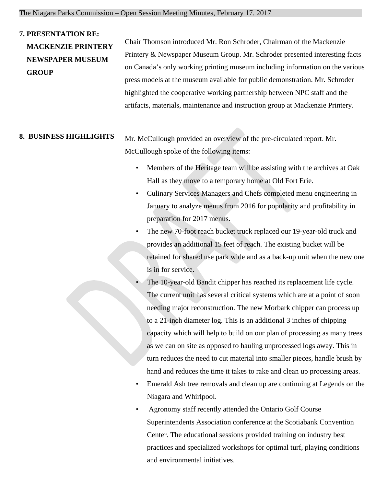## **7. PRESENTATION RE:**

 **GROUP**

 **MACKENZIE PRINTERY NEWSPAPER MUSEUM**  Chair Thomson introduced Mr. Ron Schroder, Chairman of the Mackenzie Printery & Newspaper Museum Group. Mr. Schroder presented interesting facts on Canada's only working printing museum including information on the various press models at the museum available for public demonstration. Mr. Schroder highlighted the cooperative working partnership between NPC staff and the artifacts, materials, maintenance and instruction group at Mackenzie Printery.

**8. BUSINESS HIGHLIGHTS** Mr. McCullough provided an overview of the pre-circulated report. Mr. McCullough spoke of the following items:

- Members of the Heritage team will be assisting with the archives at Oak Hall as they move to a temporary home at Old Fort Erie.
- Culinary Services Managers and Chefs completed menu engineering in January to analyze menus from 2016 for popularity and profitability in preparation for 2017 menus.
- The new 70-foot reach bucket truck replaced our 19-year-old truck and provides an additional 15 feet of reach. The existing bucket will be retained for shared use park wide and as a back-up unit when the new one is in for service.
- The 10-year-old Bandit chipper has reached its replacement life cycle. The current unit has several critical systems which are at a point of soon needing major reconstruction. The new Morbark chipper can process up to a 21-inch diameter log. This is an additional 3 inches of chipping capacity which will help to build on our plan of processing as many trees as we can on site as opposed to hauling unprocessed logs away. This in turn reduces the need to cut material into smaller pieces, handle brush by hand and reduces the time it takes to rake and clean up processing areas.
	- Emerald Ash tree removals and clean up are continuing at Legends on the Niagara and Whirlpool.
	- Agronomy staff recently attended the Ontario Golf Course Superintendents Association conference at the Scotiabank Convention Center. The educational sessions provided training on industry best practices and specialized workshops for optimal turf, playing conditions and environmental initiatives.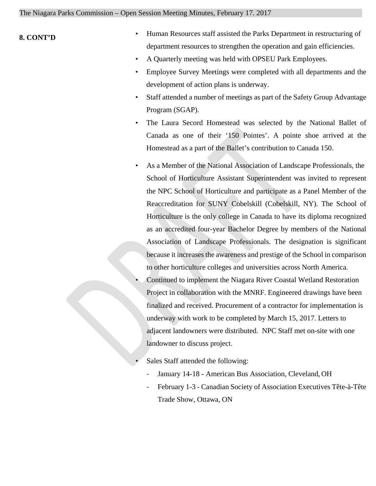## **8. CONT'D**

- Human Resources staff assisted the Parks Department in restructuring of department resources to strengthen the operation and gain efficiencies.
- A Quarterly meeting was held with OPSEU Park Employees.
- Employee Survey Meetings were completed with all departments and the development of action plans is underway.
- Staff attended a number of meetings as part of the Safety Group Advantage Program (SGAP).
- The Laura Secord Homestead was selected by the National Ballet of Canada as one of their '150 Pointes'. A pointe shoe arrived at the Homestead as a part of the Ballet's contribution to Canada 150.
- As a Member of the National Association of Landscape Professionals, the School of Horticulture Assistant Superintendent was invited to represent the NPC School of Horticulture and participate as a Panel Member of the Reaccreditation for SUNY Cobelskill (Cobelskill, NY). The School of Horticulture is the only college in Canada to have its diploma recognized as an accredited four-year Bachelor Degree by members of the National Association of Landscape Professionals. The designation is significant because it increases the awareness and prestige of the School in comparison to other horticulture colleges and universities across North America.
- Continued to implement the Niagara River Coastal Wetland Restoration Project in collaboration with the MNRF. Engineered drawings have been finalized and received. Procurement of a contractor for implementation is underway with work to be completed by March 15, 2017. Letters to adjacent landowners were distributed. NPC Staff met on-site with one landowner to discuss project.
- Sales Staff attended the following:
	- January 14-18 American Bus Association, Cleveland, OH
	- February 1-3 Canadian Society of Association Executives Tête-à-Tête Trade Show, Ottawa, ON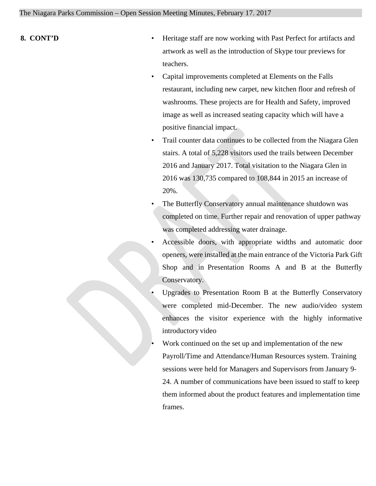- **8. CONT'D** Heritage staff are now working with Past Perfect for artifacts and artwork as well as the introduction of Skype tour previews for teachers.
	- Capital improvements completed at Elements on the Falls restaurant, including new carpet, new kitchen floor and refresh of washrooms. These projects are for Health and Safety, improved image as well as increased seating capacity which will have a positive financial impact.
	- Trail counter data continues to be collected from the Niagara Glen stairs. A total of 5,228 visitors used the trails between December 2016 and January 2017. Total visitation to the Niagara Glen in 2016 was 130,735 compared to 108,844 in 2015 an increase of 20%.
	- The Butterfly Conservatory annual maintenance shutdown was completed on time. Further repair and renovation of upper pathway was completed addressing water drainage.
	- Accessible doors, with appropriate widths and automatic door openers, were installed at the main entrance of the Victoria Park Gift Shop and in Presentation Rooms A and B at the Butterfly Conservatory.
	- Upgrades to Presentation Room B at the Butterfly Conservatory were completed mid-December. The new audio/video system enhances the visitor experience with the highly informative introductory video
	- Work continued on the set up and implementation of the new Payroll/Time and Attendance/Human Resources system. Training sessions were held for Managers and Supervisors from January 9- 24. A number of communications have been issued to staff to keep them informed about the product features and implementation time frames.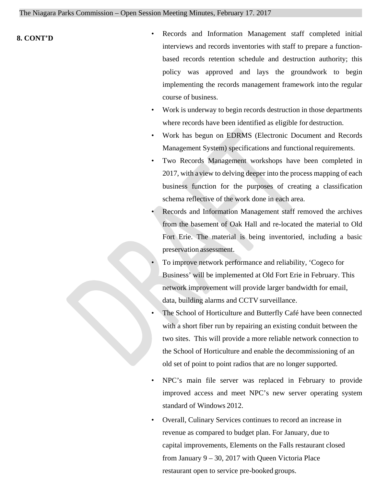- **8. CONT'D** Records and Information Management staff completed initial interviews and records inventories with staff to prepare a functionbased records retention schedule and destruction authority; this policy was approved and lays the groundwork to begin implementing the records management framework into the regular course of business.
	- Work is underway to begin records destruction in those departments where records have been identified as eligible for destruction.
	- Work has begun on EDRMS (Electronic Document and Records Management System) specifications and functional requirements.
	- Two Records Management workshops have been completed in 2017, with aview to delving deeper into the process mapping of each business function for the purposes of creating a classification schema reflective of the work done in each area.
	- Records and Information Management staff removed the archives from the basement of Oak Hall and re-located the material to Old Fort Erie. The material is being inventoried, including a basic preservation assessment.
	- To improve network performance and reliability, 'Cogeco for Business' will be implemented at Old Fort Erie in February. This network improvement will provide larger bandwidth for email, data, building alarms and CCTV surveillance.
	- The School of Horticulture and Butterfly Café have been connected with a short fiber run by repairing an existing conduit between the two sites. This will provide a more reliable network connection to the School of Horticulture and enable the decommissioning of an old set of point to point radios that are no longer supported.
	- NPC's main file server was replaced in February to provide improved access and meet NPC's new server operating system standard of Windows 2012.
	- Overall, Culinary Services continues to record an increase in revenue as compared to budget plan. For January, due to capital improvements, Elements on the Falls restaurant closed from January 9 – 30, 2017 with Queen Victoria Place restaurant open to service pre-booked groups.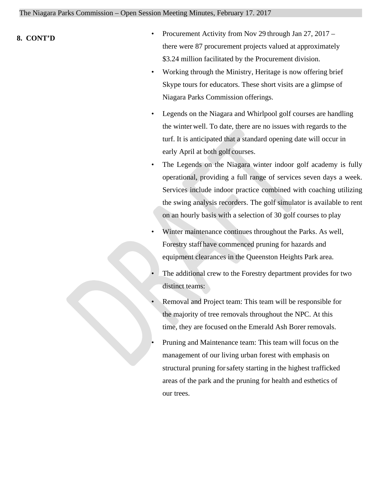- **8. CONT'D**  Procurement Activity from Nov 29 through Jan 27, 2017 there were 87 procurement projects valued at approximately \$3.24 million facilitated by the Procurement division.
	- Working through the Ministry, Heritage is now offering brief Skype tours for educators. These short visits are a glimpse of Niagara Parks Commission offerings.
	- Legends on the Niagara and Whirlpool golf courses are handling the winterwell. To date, there are no issues with regards to the turf. It is anticipated that a standard opening date will occur in early April at both golf courses.
	- The Legends on the Niagara winter indoor golf academy is fully operational, providing a full range of services seven days a week. Services include indoor practice combined with coaching utilizing the swing analysis recorders. The golf simulator is available to rent on an hourly basis with a selection of 30 golf courses to play
	- Winter maintenance continues throughout the Parks. As well, Forestry staffhave commenced pruning for hazards and equipment clearances in the Queenston Heights Park area.
	- The additional crew to the Forestry department provides for two distinct teams:
	- Removal and Project team: This team will be responsible for the majority of tree removals throughout the NPC. At this time, they are focused on the Emerald Ash Borer removals.
	- Pruning and Maintenance team: This team will focus on the management of our living urban forest with emphasis on structural pruning forsafety starting in the highest trafficked areas of the park and the pruning for health and esthetics of our trees.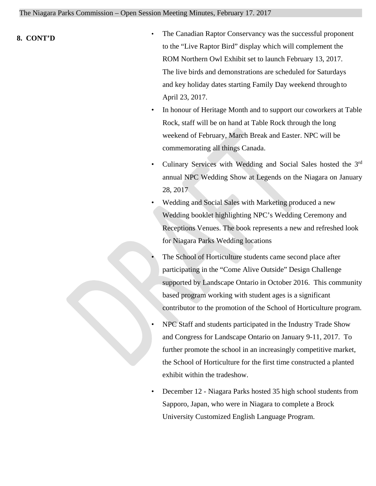- **8. CONT'D**  The Canadian Raptor Conservancy was the successful proponent to the "Live Raptor Bird" display which will complement the ROM Northern Owl Exhibit set to launch February 13, 2017. The live birds and demonstrations are scheduled for Saturdays and key holiday dates starting Family Day weekend through to April 23, 2017.
	- In honour of Heritage Month and to support our coworkers at Table Rock, staff will be on hand at Table Rock through the long weekend of February, March Break and Easter. NPC will be commemorating all things Canada.
	- Culinary Services with Wedding and Social Sales hosted the 3rd annual NPC Wedding Show at Legends on the Niagara on January 28, 2017
	- Wedding and Social Sales with Marketing produced a new Wedding booklet highlighting NPC's Wedding Ceremony and Receptions Venues. The book represents a new and refreshed look for Niagara Parks Wedding locations
	- The School of Horticulture students came second place after participating in the "Come Alive Outside" Design Challenge supported by Landscape Ontario in October 2016. This community based program working with student ages is a significant contributor to the promotion of the School of Horticulture program.
	- NPC Staff and students participated in the Industry Trade Show and Congress for Landscape Ontario on January 9-11, 2017. To further promote the school in an increasingly competitive market, the School of Horticulture for the first time constructed a planted exhibit within the tradeshow.
	- December 12 Niagara Parks hosted 35 high school students from Sapporo, Japan, who were in Niagara to complete a Brock University Customized English Language Program.